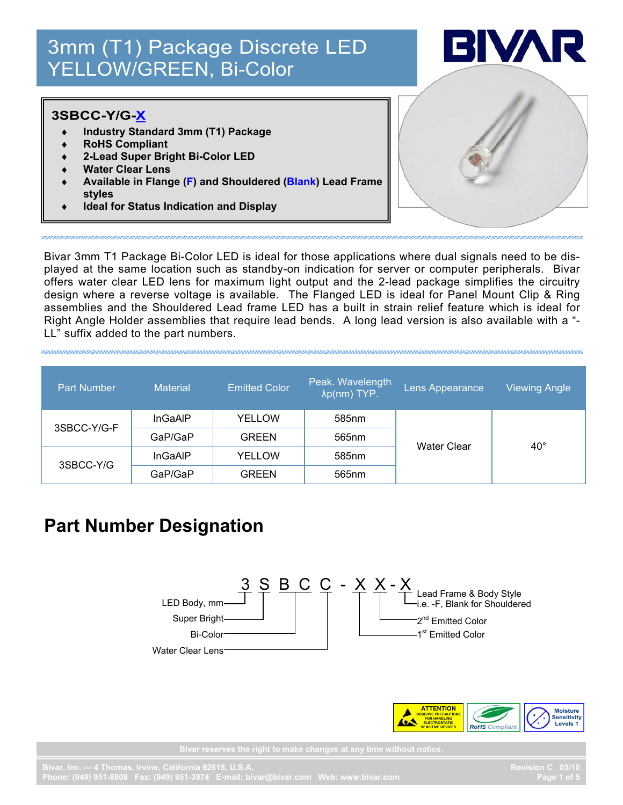# 3mm (T1) Package Discrete LED 3mm (T1) Package Discrete LED YELLOW/GREEN, Bi-Color YELLOW/GREEN, Bi-Color



#### **3SBCC-Y/G-X**

- ♦ **Industry Standard 3mm (T1) Package**
- **RoHS Compliant**
- ♦ **2-Lead Super Bright Bi-Color LED**
- **Water Clear Lens**
- Available in Flange (F) and Shouldered (Blank) Lead Frame **styles**
- **Ideal for Status Indication and Display**



Bivar 3mm T1 Package Bi-Color LED is ideal for those applications where dual signals need to be displayed at the same location such as standby-on indication for server or computer peripherals. Bivar offers water clear LED lens for maximum light output and the 2-lead package simplifies the circuitry design where a reverse voltage is available. The Flanged LED is ideal for Panel Mount Clip & Ring assemblies and the Shouldered Lead frame LED has a built in strain relief feature which is ideal for Right Angle Holder assemblies that require lead bends. A long lead version is also available with a "- LL" suffix added to the part numbers.

| <b>Part Number</b> | <b>Material</b> | Emitted Color | Peak. Wavelength<br>λp(nm) TYP. | Lens Appearance    | <b>Viewing Angle</b> |  |  |
|--------------------|-----------------|---------------|---------------------------------|--------------------|----------------------|--|--|
| 3SBCC-Y/G-F        | <b>InGaAIP</b>  | <b>YELLOW</b> | 585nm                           |                    |                      |  |  |
|                    | GaP/GaP         | <b>GREEN</b>  | 565nm                           |                    | $40^{\circ}$         |  |  |
| 3SBCC-Y/G          | <b>InGaAIP</b>  | <b>YELLOW</b> | 585nm                           | <b>Water Clear</b> |                      |  |  |
|                    | GaP/GaP         | <b>GREEN</b>  | 565nm                           |                    |                      |  |  |

## **Part Number Designation**



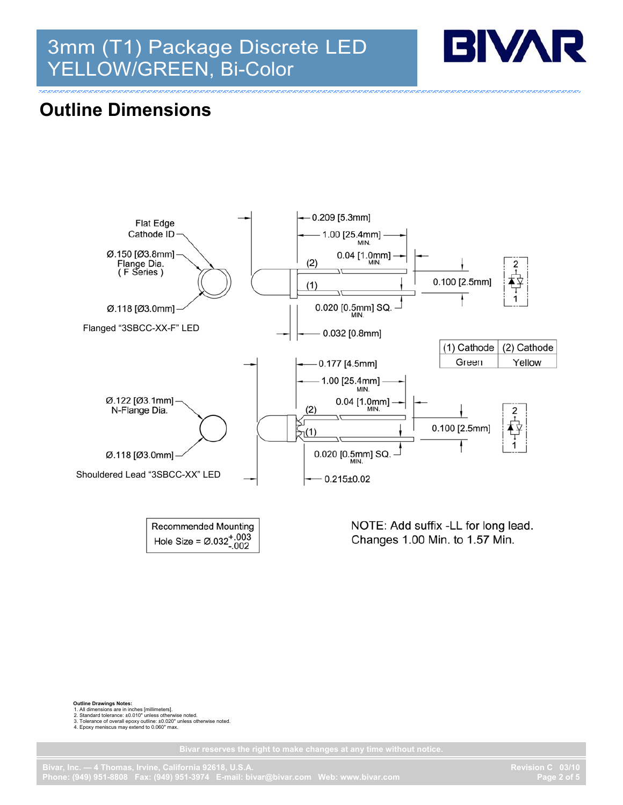# 3mm (T1) Package Discrete LED YELLOW/GREEN, Bi-Color



#### **Outline Dimensions**



Hole Size =  $\emptyset$ .032<sup>+</sup>.003

Changes 1.00 Min. to 1.57 Min.

**Outline Drawings Notes:** 

1. All dimensions are in inches [millimeters].

2. Standard tolerance: ±0.010" unless otherwise noted. 3. Tolerance of overall epoxy outline: ±0.020" unless otherwise noted. 4. Epoxy meniscus may extend to 0.060" max.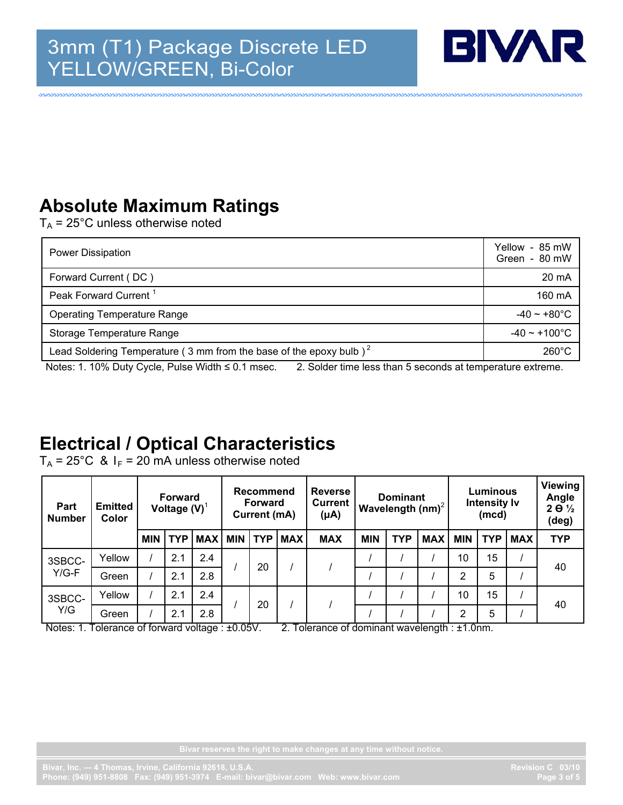

### **Absolute Maximum Ratings**

 $T_A$  = 25°C unless otherwise noted

| <b>Power Dissipation</b>                                                       | Yellow - 85 mW<br>Green - 80 mW |  |  |
|--------------------------------------------------------------------------------|---------------------------------|--|--|
| Forward Current (DC)                                                           | 20 mA                           |  |  |
| Peak Forward Current <sup>1</sup>                                              | 160 mA                          |  |  |
| <b>Operating Temperature Range</b>                                             | $-40 \sim +80^{\circ}$ C        |  |  |
| Storage Temperature Range                                                      | $-40 \sim +100$ °C              |  |  |
| Lead Soldering Temperature (3 mm from the base of the epoxy bulb) <sup>2</sup> | $260^{\circ}$ C                 |  |  |

Notes: 1. 10% Duty Cycle, Pulse Width ≤ 0.1 msec. 2. Solder time less than 5 seconds at temperature extreme.

#### **Electrical / Optical Characteristics**

 $T_A = 25^{\circ}$ C &  $I_F = 20$  mA unless otherwise noted

| <b>Part</b><br><b>Number</b> | <b>Emitted</b><br>Color | <b>Forward</b><br>Voltage $(V)^1$ |            | <b>Recommend</b><br><b>Forward</b><br>Current (mA) |  | <b>Reverse</b><br><b>Current</b><br>$(\mu A)$ | <b>Dominant</b><br>Wavelength $(nm)^2$ |            | <b>Luminous</b><br><b>Intensity Iv</b><br>(mcd) |            |            | <b>Viewing</b><br>Angle<br>$2\overline{\theta}$ $\frac{1}{2}$<br>(deg) |            |            |            |
|------------------------------|-------------------------|-----------------------------------|------------|----------------------------------------------------|--|-----------------------------------------------|----------------------------------------|------------|-------------------------------------------------|------------|------------|------------------------------------------------------------------------|------------|------------|------------|
|                              |                         | <b>MIN</b>                        | <b>TYP</b> | <b>MAX MIN</b>                                     |  | l TYP                                         | <b>MAX</b>                             | <b>MAX</b> | <b>MIN</b>                                      | <b>TYP</b> | <b>MAX</b> | <b>MIN</b>                                                             | <b>TYP</b> | <b>MAX</b> | <b>TYP</b> |
| 3SBCC-<br>$Y/G-F$            | Yellow                  |                                   | 2.1        | 2.4                                                |  | 20                                            |                                        |            |                                                 |            |            | 10                                                                     | 15         |            | 40         |
|                              | Green                   |                                   | 2.1        | 2.8                                                |  |                                               |                                        |            |                                                 |            |            | 2                                                                      | 5          |            |            |
| 3SBCC-<br>Y/G                | Yellow                  |                                   | 2.1        | 2.4                                                |  | 20                                            |                                        |            |                                                 |            |            | 10                                                                     | 15         |            | 40         |
|                              | Green                   |                                   | 2.1        | 2.8                                                |  |                                               |                                        |            |                                                 |            |            | 2                                                                      | 5          |            |            |

Notes: 1. Tolerance of forward voltage : ±0.05V. 2. Tolerance of dominant wavelength : ±1.0nm.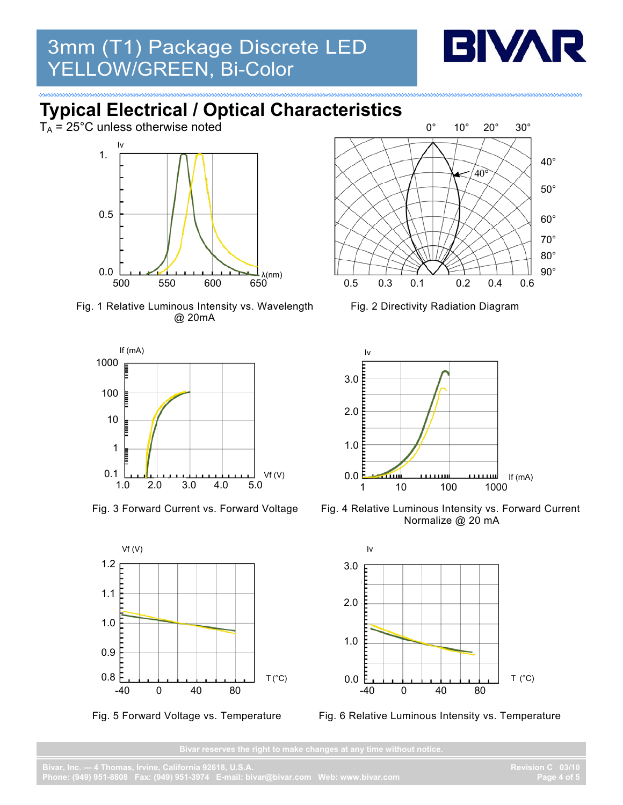

## **Typical Electrical / Optical Characteristics**

 $T_A = 25^{\circ}$ C unless otherwise noted







Fig. 3 Forward Current vs. Forward Voltage







**AMMANY** 

Fig. 2 Directivity Radiation Diagram



Fig. 4 Relative Luminous Intensity vs. Forward Current Normalize @ 20 mA



Fig. 6 Relative Luminous Intensity vs. Temperature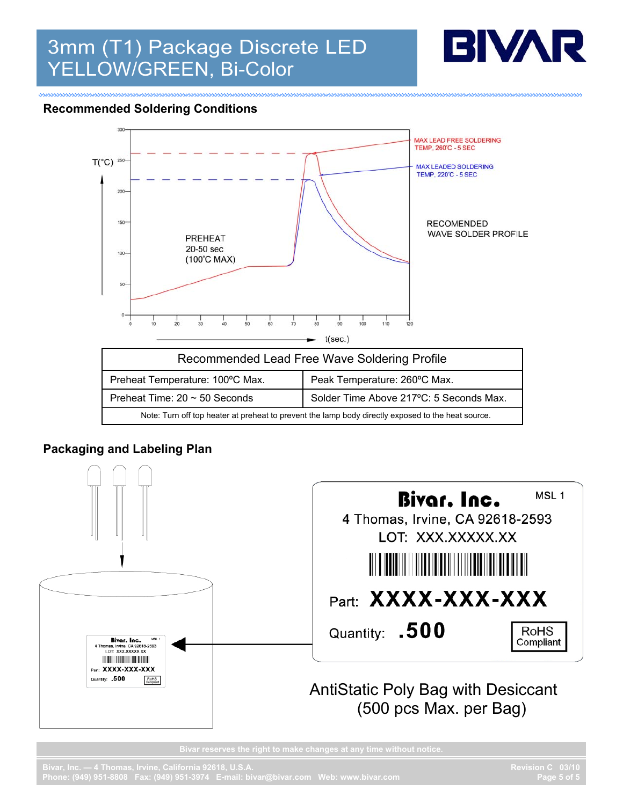

#### **Recommended Soldering Conditions**



#### **Packaging and Labeling Plan**